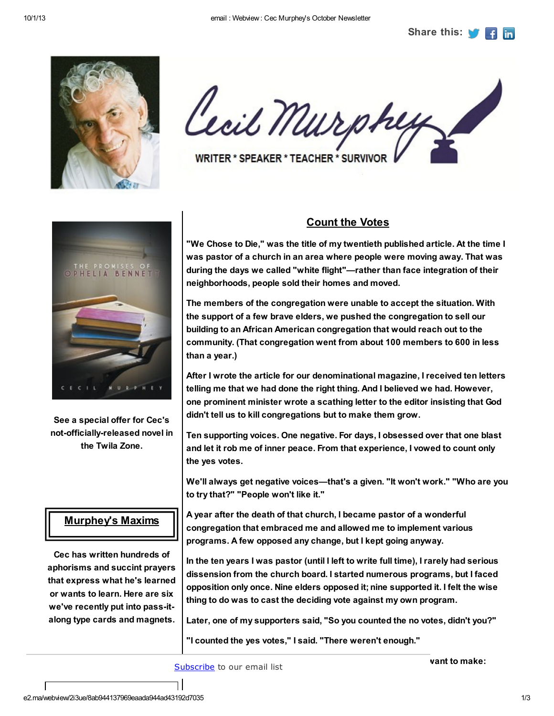

Cecil Murphy WRITER \* SPEAKER \* TEACHER \* SURVIVOR

RENNE MURPHEY

See a special offer for Cec's not-officially-released novel in the Twila Zone.

## Murphey's Maxims

Cec has written hundreds of aphorisms and succint prayers that express what he's learned or wants to learn. Here are six we've recently put into pass-italong type cards and magnets.

## Count the Votes

"We Chose to Die," was the title of my twentieth published article. At the time I was pastor of a church in an area where people were moving away. That was during the days we called "white flight"—rather than face integration of their neighborhoods, people sold their homes and moved.

The members of the congregation were unable to accept the situation. With the support of a few brave elders, we pushed the congregation to sell our building to an African American congregation that would reach out to the community. (That congregation went from about 100 members to 600 in less than a year.)

After I wrote the article for our denominational magazine, I received ten letters telling me that we had done the right thing. And I believed we had. However, one prominent minister wrote a scathing letter to the editor insisting that God didn't tell us to kill congregations but to make them grow.

Ten supporting voices. One negative. For days, I obsessed over that one blast and let it rob me of inner peace. From that experience, I vowed to count only the yes votes.

We'll always get negative voices—that's a given. "It won't work." "Who are you to try that?" "People won't like it."

A year after the death of that church, I became pastor of a wonderful congregation that embraced me and allowed me to implement various programs. A few opposed any change, but I kept going anyway.

In the ten years I was pastor (until I left to write full time), I rarely had serious dissension from the church board. I started numerous programs, but I faced opposition only once. Nine elders opposed it; nine supported it. I felt the wise thing to do was to cast the deciding vote against my own program.

Later, one of my supporters said, "So you counted the no votes, didn't you?"

"I counted the yes votes," I said. "There weren't enough."

[Subscribe](https://app.e2ma.net/app2/audience/signup/48785/28940/?v=a) to our email list

vant to make: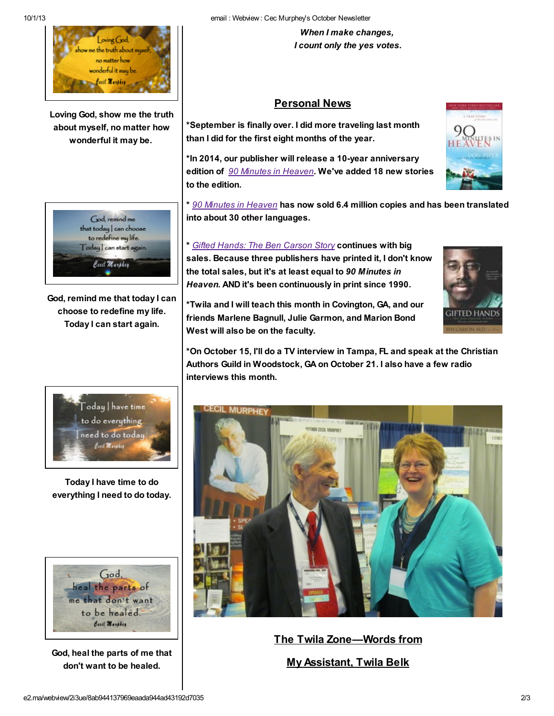

Loving God, show me the truth about myself, no matter how wonderful it may be.



God, remind me that today I can choose to redefine my life. Today I can start again.

When I make changes, I count only the yes votes.

## Personal News

\*September is finally over. I did more traveling last month than I did for the first eight months of the year.

\*In 2014, our publisher will release a 10-year anniversary edition of 90 Minutes in [Heaven](http://www.amazon.com/90-Minutes-Heaven-Story-Death/dp/0800759494/ref=sr_1_1?s=books&ie=UTF8&qid=1380654029&sr=1-1&keywords=90+minutes+in+heaven). We've added 18 new stories to the edition.

\* 90 Minutes in [Heaven](http://www.amazon.com/90-Minutes-Heaven-Story-Death/dp/0800759494/ref=sr_1_1?s=books&ie=UTF8&qid=1380654029&sr=1-1&keywords=90+minutes+in+heaven) has now sold 6.4 million copies and has been translated into about 30 other languages.

\* Gifted Hands: The Ben [Carson](http://www.amazon.com/Gifted-Hands-Ben-Carson-Story/dp/0310214696/ref=sr_1_1?s=books&ie=UTF8&qid=1380654151&sr=1-1&keywords=gifted+hands+the+ben+carson+story) Story continues with big sales. Because three publishers have printed it, I don't know the total sales, but it's at least equal to 90 Minutes in Heaven. AND it's been continuously in print since 1990.

\*Twila and I will teach this month in Covington, GA, and our friends Marlene Bagnull, Julie Garmon, and Marion Bond West will also be on the faculty.

\*On October 15, I'll do a TV interview in Tampa, FL and speak at the Christian Authors Guild in Woodstock, GA on October 21. I also have a few radio interviews this month.



Today I have time to do everything I need to do today.



God, heal the parts of me that don't want to be healed.



The Twila Zone—Words from

My Assistant, Twila Belk